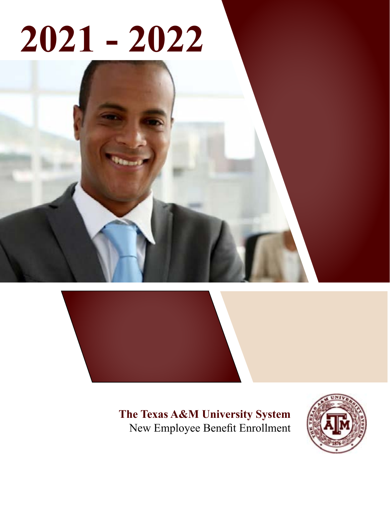# **2021 - 2022**





**The Texas A&M University System** New Employee Benefit Enrollment

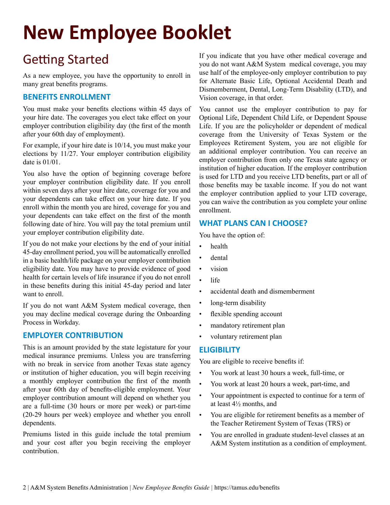# **New Employee Booklet**

# Getting Started

As a new employee, you have the opportunity to enroll in many great benefits programs.

### **BENEFITS ENROLLMENT**

You must make your benefits elections within 45 days of your hire date. The coverages you elect take effect on your employer contribution eligibility day (the first of the month after your 60th day of employment).

For example, if your hire date is 10/14, you must make your elections by 11/27. Your employer contribution eligibility date is 01/01.

You also have the option of beginning coverage before your employer contribution eligibility date. If you enroll within seven days after your hire date, coverage for you and your dependents can take effect on your hire date. If you enroll within the month you are hired, coverage for you and your dependents can take effect on the first of the month following date of hire. You will pay the total premium until your employer contribution eligibility date.

If you do not make your elections by the end of your initial 45-day enrollment period, you will be automatically enrolled in a basic health/life package on your employer contribution eligibility date. You may have to provide evidence of good health for certain levels of life insurance if you do not enroll in these benefits during this initial 45-day period and later want to enroll.

If you do not want A&M System medical coverage, then you may decline medical coverage during the Onboarding Process in Workday.

### **EMPLOYER CONTRIBUTION**

This is an amount provided by the state legistature for your medical insurance premiums. Unless you are transferring with no break in service from another Texas state agency or institution of higher education, you will begin receiving a monthly employer contribution the first of the month after your 60th day of benefits-eligible employment. Your employer contribution amount will depend on whether you are a full-time (30 hours or more per week) or part-time (20-29 hours per week) employee and whether you enroll dependents.

Premiums listed in this guide include the total premium and your cost after you begin receiving the employer contribution.

If you indicate that you have other medical coverage and you do not want A&M System medical coverage, you may use half of the employee-only employer contribution to pay for Alternate Basic Life, Optional Accidental Death and Dismemberment, Dental, Long-Term Disability (LTD), and Vision coverage, in that order.

You cannot use the employer contribution to pay for Optional Life, Dependent Child Life, or Dependent Spouse Life. If you are the policyholder or dependent of medical coverage from the University of Texas System or the Employees Retirement System, you are not eligible for an additional employer contribution. You can receive an employer contribution from only one Texas state agency or institution of higher education. If the employer contribution is used for LTD and you receive LTD benefits, part or all of those benefits may be taxable income. If you do not want the employer contribution applied to your LTD coverage, you can waive the contribution as you complete your online enrollment.

### **WHAT PLANS CAN I CHOOSE?**

You have the option of:

- health
- dental
- vision
- life
- accidental death and dismemberment
- long-term disability
- flexible spending account
- mandatory retirement plan
- voluntary retirement plan

### **ELIGIBILITY**

You are eligible to receive benefits if:

- You work at least 30 hours a week, full-time, or
- You work at least 20 hours a week, part-time, and
- Your appointment is expected to continue for a term of at least 4½ months, and
- You are eligible for retirement benefits as a member of the Teacher Retirement System of Texas (TRS) or
- You are enrolled in graduate student-level classes at an A&M System institution as a condition of employment.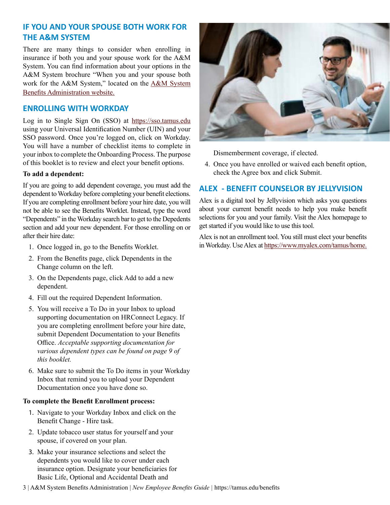### **IF YOU AND YOUR SPOUSE BOTH WORK FOR THE A&M SYSTEM**

There are many things to consider when enrolling in insurance if both you and your spouse work for the A&M System. You can find information about your options in the A&M System brochure "When you and your spouse both work for the A&M System," located on the [A&M System](http://tamus.edu/benefits) [Benefits Administration website](http://tamus.edu/benefits).

### **ENROLLING WITH WORKDAY**

Log in to Single Sign On (SSO) at [https://sso.tamus.edu](https://sso.tamus.edu ) using your Universal Identification Number (UIN) and your SSO password. Once you're logged on, click on Workday. You will have a number of checklist items to complete in your inbox to complete the Onboarding Process. The purpose of this booklet is to review and elect your benefit options.

### **To add a dependent:**

If you are going to add dependent coverage, you must add the dependent to Workday before completing your benefit elections. If you are completing enrollment before your hire date, you will not be able to see the Benefits Worklet. Instead, type the word "Dependents" in the Workday search bar to get to the Depedents section and add your new dependent. For those enrolling on or after their hire date:

- 1. Once logged in, go to the Benefits Worklet.
- 2. From the Benefits page, click Dependents in the Change column on the left.
- 3. On the Dependents page, click Add to add a new dependent.
- 4. Fill out the required Dependent Information.
- 5. You will receive a To Do in your Inbox to upload supporting documentation on HRConnect Legacy. If you are completing enrollment before your hire date, submit Dependent Documentation to your Benefits Office. *Acceptable supporting documentation for various dependent types can be found on page 9 of this booklet.*
- 6. Make sure to submit the To Do items in your Workday Inbox that remind you to upload your Dependent Documentation once you have done so.

### **To complete the Benefit Enrollment process:**

- 1. Navigate to your Workday Inbox and click on the Benefit Change - Hire task.
- 2. Update tobacco user status for yourself and your spouse, if covered on your plan.
- 3. Make your insurance selections and select the dependents you would like to cover under each insurance option. Designate your beneficiaries for Basic Life, Optional and Accidental Death and



Dismemberment coverage, if elected.

4. Once you have enrolled or waived each benefit option, check the Agree box and click Submit.

### **ALEX - BENEFIT COUNSELOR BY JELLYVISION**

Alex is a digital tool by Jellyvision which asks you questions about your current benefit needs to help you make benefit selections for you and your family. Visit the Alex homepage to get started if you would like to use this tool.

Alex is not an enrollment tool. You still must elect your benefits in Workday. Use Alex at<https://www.myalex.com/tamus/home>.

3 | A&M System Benefits Administration | *New Employee Benefits Guide |* https://tamus.edu/benefits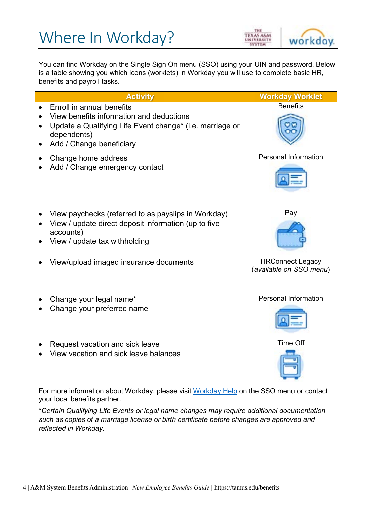# Where In Workday?



You can find Workday on the Single Sign On menu (SSO) using your UIN and password. Below is a table showing you which icons (worklets) in Workday you will use to complete basic HR, benefits and payroll tasks.

| <b>Activity</b>                                                                                                                                           | <b>Workday Worklet</b>                             |
|-----------------------------------------------------------------------------------------------------------------------------------------------------------|----------------------------------------------------|
| Enroll in annual benefits                                                                                                                                 | <b>Benefits</b>                                    |
| View benefits information and deductions<br>Update a Qualifying Life Event change* (i.e. marriage or<br>dependents)                                       |                                                    |
| Add / Change beneficiary                                                                                                                                  |                                                    |
| Change home address<br>Add / Change emergency contact                                                                                                     | <b>Personal Information</b>                        |
| View paychecks (referred to as payslips in Workday)<br>View / update direct deposit information (up to five<br>accounts)<br>View / update tax withholding | Pay                                                |
| View/upload imaged insurance documents                                                                                                                    | <b>HRConnect Legacy</b><br>(available on SSO menu) |
| Change your legal name*<br>Change your preferred name                                                                                                     | <b>Personal Information</b>                        |
| Request vacation and sick leave<br>View vacation and sick leave balances                                                                                  | <b>Time Off</b>                                    |

For more information about Workday, please visit Workday Help on the SSO menu or contact your local benefits partner.

\**Certain Qualifying Life Events or legal name changes may require additional documentation such as copies of a marriage license or birth certificate before changes are approved and reflected in Workday.*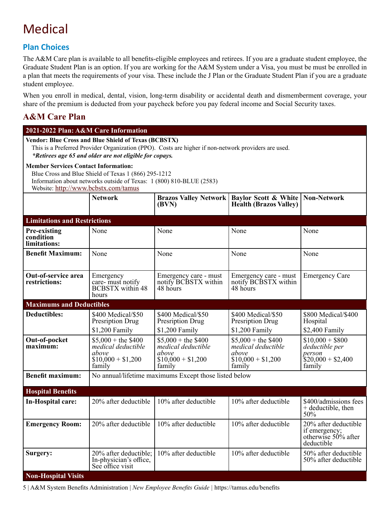# Medical

### **Plan Choices**

The A&M Care plan is available to all benefits-eligible employees and retirees. If you are a graduate student employee, the Graduate Student Plan is an option. If you are working for the A&M System under a Visa, you must be must be enrolled in a plan that meets the requirements of your visa. These include the J Plan or the Graduate Student Plan if you are a graduate student employee.

When you enroll in medical, dental, vision, long-term disability or accidental death and dismemberment coverage, your share of the premium is deducted from your paycheck before you pay federal income and Social Security taxes.

### **A&M Care Plan**

| 2021-2022 Plan: A&M Care Information                                                |                                                                                                                                                                                                                         |                                                                                    |                                                                                    |                                                                               |  |  |
|-------------------------------------------------------------------------------------|-------------------------------------------------------------------------------------------------------------------------------------------------------------------------------------------------------------------------|------------------------------------------------------------------------------------|------------------------------------------------------------------------------------|-------------------------------------------------------------------------------|--|--|
|                                                                                     | Vendor: Blue Cross and Blue Shield of Texas (BCBSTX)<br>This is a Preferred Provider Organization (PPO). Costs are higher if non-network providers are used.<br>*Retirees age 65 and older are not eligible for copays. |                                                                                    |                                                                                    |                                                                               |  |  |
| <b>Member Services Contact Information:</b><br>Website: http://www.bcbstx.com/tamus | Blue Cross and Blue Shield of Texas 1 (866) 295-1212<br>Information about networks outside of Texas: 1 (800) 810-BLUE (2583)                                                                                            |                                                                                    |                                                                                    |                                                                               |  |  |
|                                                                                     | <b>Network</b><br><b>Brazos Valley Network</b><br><b>Non-Network</b><br><b>Baylor Scott &amp; White</b><br><b>Health (Brazos Valley)</b><br>(BVN)                                                                       |                                                                                    |                                                                                    |                                                                               |  |  |
| <b>Limitations and Restrictions</b>                                                 |                                                                                                                                                                                                                         |                                                                                    |                                                                                    |                                                                               |  |  |
| Pre-existing<br>condition<br>limitations:                                           | None                                                                                                                                                                                                                    | None                                                                               | None                                                                               | None                                                                          |  |  |
| <b>Benefit Maximum:</b>                                                             | None                                                                                                                                                                                                                    | None                                                                               | None                                                                               | None                                                                          |  |  |
| Out-of-service area<br>restrictions:                                                | Emergency<br>care- must notify<br><b>BCBSTX</b> within 48<br>hours                                                                                                                                                      | Emergency care - must<br>notify BCBSTX within<br>48 hours                          | Emergency care - must<br>notify BCBSTX within<br>48 hours                          | <b>Emergency Care</b>                                                         |  |  |
| <b>Maximums and Deductibles</b>                                                     |                                                                                                                                                                                                                         |                                                                                    |                                                                                    |                                                                               |  |  |
| <b>Deductibles:</b>                                                                 | \$400 Medical/\$50<br>Presription Drug<br>\$1,200 Family                                                                                                                                                                | \$400 Medical/\$50<br><b>Presription Drug</b><br>\$1,200 Family                    | \$400 Medical/\$50<br>Presription Drug<br>\$1,200 Family                           | \$800 Medical/\$400<br>Hospital<br>\$2,400 Family                             |  |  |
| Out-of-pocket<br>maximum:                                                           | $$5,000 + the $400$<br>medical deductible<br>above<br>$$10,000 + $1,200$<br>family                                                                                                                                      | $$5,000 + the $400$<br>medical deductible<br>above<br>$$10,000 + $1,200$<br>family | $$5,000 + the $400$<br>medical deductible<br>above<br>$$10,000 + $1,200$<br>family | $$10,000 + $800$<br>deductible per<br>person<br>$$20,000 + $2,400$<br>family  |  |  |
| <b>Benefit maximum:</b>                                                             | No annual/lifetime maximums Except those listed below                                                                                                                                                                   |                                                                                    |                                                                                    |                                                                               |  |  |
| <b>Hospital Benefits</b>                                                            |                                                                                                                                                                                                                         |                                                                                    |                                                                                    |                                                                               |  |  |
| In-Hospital care:                                                                   | 20% after deductible                                                                                                                                                                                                    | 10% after deductible                                                               | 10% after deductible                                                               | \$400/admissions fees<br>$+$ deductible, then<br>50%                          |  |  |
| <b>Emergency Room:</b>                                                              | 20% after deductible                                                                                                                                                                                                    | 10% after deductible                                                               | 10% after deductible                                                               | 20% after deductible<br>if emergency;<br>otherwise $50\%$ after<br>deductible |  |  |
| Surgery:                                                                            | 20% after deductible;<br>In-physician's office,<br>See office visit                                                                                                                                                     | 10% after deductible                                                               | 10% after deductible                                                               | 50% after deductible<br>50% after deductible                                  |  |  |
| <b>Non-Hospital Visits</b>                                                          |                                                                                                                                                                                                                         |                                                                                    |                                                                                    |                                                                               |  |  |

5 | A&M System Benefits Administration | *New Employee Benefits Guide |* https://tamus.edu/benefits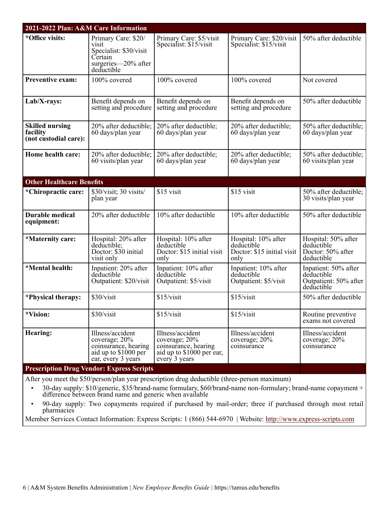| 2021-2022 Plan: A&M Care Information                        |                                                                                                         |                                                                                                         |                                                                         |                                                                           |  |
|-------------------------------------------------------------|---------------------------------------------------------------------------------------------------------|---------------------------------------------------------------------------------------------------------|-------------------------------------------------------------------------|---------------------------------------------------------------------------|--|
| *Office visits:                                             | Primary Care: \$20/<br>visit<br>Specialist: \$30/visit<br>Certain<br>surgeries-20% after<br>deductible  | Primary Care: \$5/visit<br>Specialist: \$15/visit                                                       | Primary Care: \$20/visit<br>Specialist: \$15/visit                      | 50% after deductible                                                      |  |
| <b>Preventive exam:</b>                                     | 100% covered                                                                                            | 100% covered                                                                                            | 100% covered                                                            | Not covered                                                               |  |
| $Lab/X-rays:$                                               | Benefit depends on<br>setting and procedure                                                             | Benefit depends on<br>setting and procedure                                                             | Benefit depends on<br>setting and procedure                             | 50% after deductible                                                      |  |
| <b>Skilled nursing</b><br>facility<br>(not custodial care): | 20% after deductible;<br>60 days/plan year                                                              | 20% after deductible;<br>60 days/plan year                                                              | 20% after deductible;<br>60 days/plan year                              | 50% after deductible;<br>60 days/plan year                                |  |
| Home health care:                                           | 20% after deductible;<br>60 visits/plan year                                                            | 20% after deductible;<br>60 days/plan year                                                              | 20% after deductible;<br>60 days/plan year                              | 50% after deductible;<br>60 visits/plan year                              |  |
| <b>Other Healthcare Benefits</b>                            |                                                                                                         |                                                                                                         |                                                                         |                                                                           |  |
| *Chiropractic care:                                         | \$30/visit; 30 visits/<br>plan year                                                                     | \$15 visit                                                                                              | \$15 visit                                                              | 50% after deductible;<br>30 visits/plan year                              |  |
| <b>Durable medical</b><br>equipment:                        | 20% after deductible                                                                                    | 10% after deductible                                                                                    | 10% after deductible                                                    | 50% after deductible                                                      |  |
| *Maternity care:                                            | Hospital: 20% after<br>deductible;<br>Doctor: \$30 initial<br>visit only                                | Hospital: 10% after<br>deductible<br>Doctor: \$15 initial visit<br>only                                 | Hospital: 10% after<br>deductible<br>Doctor: \$15 initial visit<br>only | Hospital: 50% after<br>deductible<br>Doctor: 50% after<br>deductible      |  |
| *Mental health:                                             | Inpatient: 20% after<br>deductible<br>Outpatient: \$20/visit                                            | Inpatient: 10% after<br>deductible<br>Outpatient: \$5/visit                                             | Inpatient: 10% after<br>deductible<br>Outpatient: \$5/visit             | Inpatient: 50% after<br>deductible<br>Outpatient: 50% after<br>deductible |  |
| *Physical therapy:                                          | \$30/visit                                                                                              | \$15/visit                                                                                              | \$15/visit                                                              | 50% after deductible                                                      |  |
| *Vision:                                                    | \$30/visit                                                                                              | \$15/visit                                                                                              | \$15/visit                                                              | Routine preventive<br>exams not covered                                   |  |
| Hearing:                                                    | Illness/accident<br>coverage; 20%<br>coinsurance, hearing<br>aid up to \$1000 per<br>ear, every 3 years | Illness/accident<br>coverage; 20%<br>coinsurance, hearing<br>aid up to \$1000 per ear,<br>every 3 years | Illness/accident<br>coverage; 20%<br>coinsurance                        | Illness/accident<br>coverage; 20%<br>coinsurance                          |  |
| <b>Prescription Drug Vendor: Express Scripts</b>            |                                                                                                         |                                                                                                         |                                                                         |                                                                           |  |

After you meet the \$50/person/plan year prescription drug deductible (three-person maximum)

- 30-day supply: \$10/generic, \$35/brand-name formulary, \$60/brand-name non-formulary; brand-name copayment + difference between brand name and generic when available
- 90-day supply: Two copayments required if purchased by mail-order; three if purchased through most retail pharmacies

Member Services Contact Information: Express Scripts: 1 (866) 544-6970 | Website:<http://www.express-scripts.com>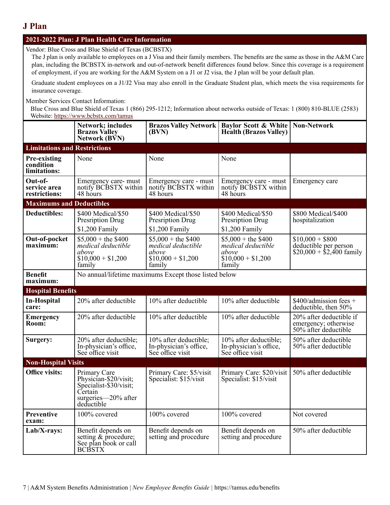### **J Plan**

|                                                                                                                                                                                                                                                                                                                                                                                                                                                | 2021-2022 Plan: J Plan Health Care Information                                                                                                                                                              |                                                                                                                            |                                                                                    |                                                                                                                                |  |  |
|------------------------------------------------------------------------------------------------------------------------------------------------------------------------------------------------------------------------------------------------------------------------------------------------------------------------------------------------------------------------------------------------------------------------------------------------|-------------------------------------------------------------------------------------------------------------------------------------------------------------------------------------------------------------|----------------------------------------------------------------------------------------------------------------------------|------------------------------------------------------------------------------------|--------------------------------------------------------------------------------------------------------------------------------|--|--|
| Vendor: Blue Cross and Blue Shield of Texas (BCBSTX)<br>The J plan is only available to employees on a J Visa and their family members. The benefits are the same as those in the A&M Care<br>plan, including the BCBSTX in-network and out-of-network benefit differences found below. Since this coverage is a requirement<br>of employment, if you are working for the A&M System on a J1 or J2 visa, the J plan will be your default plan. |                                                                                                                                                                                                             |                                                                                                                            |                                                                                    |                                                                                                                                |  |  |
| insurance coverage.                                                                                                                                                                                                                                                                                                                                                                                                                            |                                                                                                                                                                                                             |                                                                                                                            |                                                                                    | Graduate student employees on a J1/J2 Visa may also enroll in the Graduate Student plan, which meets the visa requirements for |  |  |
|                                                                                                                                                                                                                                                                                                                                                                                                                                                | Member Services Contact Information:<br>Website: https://www.bcbstx.com/tamus                                                                                                                               | Blue Cross and Blue Shield of Texas 1 (866) 295-1212; Information about networks outside of Texas: 1 (800) 810-BLUE (2583) |                                                                                    |                                                                                                                                |  |  |
|                                                                                                                                                                                                                                                                                                                                                                                                                                                | <b>Brazos Valley Network</b><br><b>Network; includes</b><br><b>Baylor Scott &amp; White</b><br><b>Non-Network</b><br><b>Health (Brazos Valley)</b><br><b>Brazos Valley</b><br>(BVN)<br><b>Network (BVN)</b> |                                                                                                                            |                                                                                    |                                                                                                                                |  |  |
| <b>Limitations and Restrictions</b>                                                                                                                                                                                                                                                                                                                                                                                                            |                                                                                                                                                                                                             |                                                                                                                            |                                                                                    |                                                                                                                                |  |  |
| <b>Pre-existing</b><br>condition<br>limitations:                                                                                                                                                                                                                                                                                                                                                                                               | None                                                                                                                                                                                                        | None                                                                                                                       | None                                                                               |                                                                                                                                |  |  |
| Out-of-<br>service area<br>restrictions:                                                                                                                                                                                                                                                                                                                                                                                                       | Emergency care- must<br>notify BCBSTX within<br>48 hours                                                                                                                                                    | Emergency care - must<br>notify BCBSTX within<br>48 hours                                                                  | Emergency care - must<br>notify BCBSTX within<br>48 hours                          | Emergency care                                                                                                                 |  |  |
| <b>Maximums and Deductibles</b>                                                                                                                                                                                                                                                                                                                                                                                                                |                                                                                                                                                                                                             |                                                                                                                            |                                                                                    |                                                                                                                                |  |  |
| <b>Deductibles:</b>                                                                                                                                                                                                                                                                                                                                                                                                                            | \$400 Medical/\$50<br><b>Presription Drug</b><br>\$1,200 Family                                                                                                                                             | \$400 Medical/\$50<br><b>Presription Drug</b><br>\$1,200 Family                                                            | \$400 Medical/\$50<br><b>Presription Drug</b><br>\$1,200 Family                    | \$800 Medical/\$400<br>hospitalization                                                                                         |  |  |
| Out-of-pocket<br>maximum:                                                                                                                                                                                                                                                                                                                                                                                                                      | $$5,000 + the $400$<br>medical deductible<br>above<br>$$10,000 + $1,200$<br>family                                                                                                                          | $$5,000 + the $400$<br>medical deductible<br>above<br>$$10,000 + $1,200$<br>family                                         | $$5,000 + the $400$<br>medical deductible<br>above<br>$$10,000 + $1,200$<br>family | $$10,000 + $800$<br>deductible per person<br>$$20,000 + $2,400$ family                                                         |  |  |
| <b>Benefit</b><br>maximum:                                                                                                                                                                                                                                                                                                                                                                                                                     | No annual/lifetime maximums Except those listed below                                                                                                                                                       |                                                                                                                            |                                                                                    |                                                                                                                                |  |  |
| <b>Hospital Benefits</b>                                                                                                                                                                                                                                                                                                                                                                                                                       |                                                                                                                                                                                                             |                                                                                                                            |                                                                                    |                                                                                                                                |  |  |
| <b>In-Hospital</b><br>care:                                                                                                                                                                                                                                                                                                                                                                                                                    | 20% after deductible                                                                                                                                                                                        | 10% after deductible                                                                                                       | 10% after deductible                                                               | \$400/admission fees $+$<br>deductible, then 50%                                                                               |  |  |
| <b>Emergency</b><br>Room:                                                                                                                                                                                                                                                                                                                                                                                                                      | 20% after deductible                                                                                                                                                                                        | 10% after deductible                                                                                                       | 10% after deductible                                                               | 20% after deductible if<br>emergency; otherwise<br>50% after deductible                                                        |  |  |
| Surgery:                                                                                                                                                                                                                                                                                                                                                                                                                                       | 20% after deductible;<br>In-physician's office,<br>See office visit                                                                                                                                         | 10% after deductible;<br>In-physician's office,<br>See office visit                                                        | 10% after deductible;<br>In-physician's office,<br>See office visit                | 50% after deductible<br>50% after deductible                                                                                   |  |  |
| <b>Non-Hospital Visits</b>                                                                                                                                                                                                                                                                                                                                                                                                                     |                                                                                                                                                                                                             |                                                                                                                            |                                                                                    |                                                                                                                                |  |  |
| Office visits:                                                                                                                                                                                                                                                                                                                                                                                                                                 | Primary Care<br>Physician-\$20/visit;<br>Specialist-\$30/visit;<br>Certain<br>surgeries-20% after<br>deductible                                                                                             | Primary Care: \$5/visit<br>Specialist: \$15/visit                                                                          | Primary Care: \$20/visit<br>Specialist: \$15/visit                                 | 50% after deductible                                                                                                           |  |  |
| Preventive<br>exam:                                                                                                                                                                                                                                                                                                                                                                                                                            | 100% covered                                                                                                                                                                                                | 100% covered                                                                                                               | 100% covered                                                                       | Not covered                                                                                                                    |  |  |
| Lab/X-rays:                                                                                                                                                                                                                                                                                                                                                                                                                                    | Benefit depends on<br>setting & procedure;<br>See plan book or call<br><b>BCBSTX</b>                                                                                                                        | Benefit depends on<br>setting and procedure                                                                                | Benefit depends on<br>setting and procedure                                        | 50% after deductible                                                                                                           |  |  |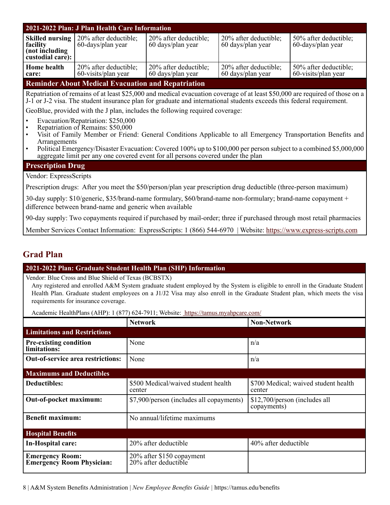|                                                                                                                                                                                                                                                                                                                                                                                                                                                                       | 2021-2022 Plan: J Plan Health Care Information            |                                                                                                                       |                                            |                                                                                                                              |  |  |
|-----------------------------------------------------------------------------------------------------------------------------------------------------------------------------------------------------------------------------------------------------------------------------------------------------------------------------------------------------------------------------------------------------------------------------------------------------------------------|-----------------------------------------------------------|-----------------------------------------------------------------------------------------------------------------------|--------------------------------------------|------------------------------------------------------------------------------------------------------------------------------|--|--|
| <b>Skilled nursing</b><br>facility<br>(not including<br>custodial care):                                                                                                                                                                                                                                                                                                                                                                                              | 20% after deductible;<br>60-days/plan year                | 20% after deductible;<br>60 days/plan year                                                                            | 20% after deductible:<br>60 days/plan year | 50% after deductible;<br>60-days/plan year                                                                                   |  |  |
| <b>Home</b> health<br>care:                                                                                                                                                                                                                                                                                                                                                                                                                                           | 20% after deductible;<br>60-visits/plan year              | 20% after deductible;<br>60 days/plan year                                                                            | 20% after deductible;<br>60 days/plan year | 50% after deductible;<br>60-visits/plan year                                                                                 |  |  |
|                                                                                                                                                                                                                                                                                                                                                                                                                                                                       | <b>Reminder About Medical Evacuation and Repatriation</b> |                                                                                                                       |                                            |                                                                                                                              |  |  |
|                                                                                                                                                                                                                                                                                                                                                                                                                                                                       |                                                           | J-1 or J-2 visa. The student insurance plan for graduate and international students exceeds this federal requirement. |                                            | Repatriation of remains of at least \$25,000 and medical evacuation coverage of at least \$50,000 are required of those on a |  |  |
|                                                                                                                                                                                                                                                                                                                                                                                                                                                                       |                                                           | GeoBlue, provided with the J plan, includes the following required coverage:                                          |                                            |                                                                                                                              |  |  |
| Evacuation/Repatriation: \$250,000<br>$\bullet$<br>Repatriation of Remains: \$50,000<br>$\bullet$<br>Visit of Family Member or Friend: General Conditions Applicable to all Emergency Transportation Benefits and<br>$\bullet$<br>Arrangements<br>Political Emergency/Disaster Evacuation: Covered 100% up to \$100,000 per person subject to a combined \$5,000,000<br>$\bullet$<br>aggregate limit per any one covered event for all persons covered under the plan |                                                           |                                                                                                                       |                                            |                                                                                                                              |  |  |
| <b>Prescription Drug</b>                                                                                                                                                                                                                                                                                                                                                                                                                                              |                                                           |                                                                                                                       |                                            |                                                                                                                              |  |  |
| Vendor: ExpressScripts                                                                                                                                                                                                                                                                                                                                                                                                                                                |                                                           |                                                                                                                       |                                            |                                                                                                                              |  |  |
| Prescription drugs: After you meet the \$50/person/plan year prescription drug deductible (three-person maximum)                                                                                                                                                                                                                                                                                                                                                      |                                                           |                                                                                                                       |                                            |                                                                                                                              |  |  |
| 30-day supply: \$10/generic, \$35/brand-name formulary, \$60/brand-name non-formulary; brand-name copayment +<br>difference between brand-name and generic when available                                                                                                                                                                                                                                                                                             |                                                           |                                                                                                                       |                                            |                                                                                                                              |  |  |
| 90-day supply: Two copayments required if purchased by mail-order; three if purchased through most retail pharmacies                                                                                                                                                                                                                                                                                                                                                  |                                                           |                                                                                                                       |                                            |                                                                                                                              |  |  |
| Member Services Contact Information: ExpressScripts: 1 (866) 544-6970   Website: https://www.express-scripts.com                                                                                                                                                                                                                                                                                                                                                      |                                                           |                                                                                                                       |                                            |                                                                                                                              |  |  |
|                                                                                                                                                                                                                                                                                                                                                                                                                                                                       |                                                           |                                                                                                                       |                                            |                                                                                                                              |  |  |

### **Grad Plan**

### **2021-2022 Plan: Graduate Student Health Plan (SHP) Information**

Vendor: Blue Cross and Blue Shield of Texas (BCBSTX)

Any registered and enrolled A&M System graduate student employed by the System is eligible to enroll in the Graduate Student Health Plan. Graduate student employees on a J1/J2 Visa may also enroll in the Graduate Student plan, which meets the visa requirements for insurance coverage.

Academic HealthPlans (AHP): 1 (877) 624-7911; Website: [https://tamus.myahpcare.com/]( https://tamus.myahpcare.com/)

|                                                            | <b>Network</b>                                    | <b>Non-Network</b>                             |  |  |  |
|------------------------------------------------------------|---------------------------------------------------|------------------------------------------------|--|--|--|
| <b>Limitations and Restrictions</b>                        |                                                   |                                                |  |  |  |
| <b>Pre-existing condition</b><br>limitations:              | None                                              | n/a                                            |  |  |  |
| <b>Out-of-service area restrictions:</b>                   | None                                              | n/a                                            |  |  |  |
| <b>Maximums and Deductibles</b>                            |                                                   |                                                |  |  |  |
| <b>Deductibles:</b>                                        | \$500 Medical/waived student health<br>center     | \$700 Medical; waived student health<br>center |  |  |  |
| Out-of-pocket maximum:                                     | \$7,900/person (includes all copayments)          | \$12,700/person (includes all<br>copayments)   |  |  |  |
| <b>Benefit maximum:</b>                                    | No annual/lifetime maximums                       |                                                |  |  |  |
| <b>Hospital Benefits</b>                                   |                                                   |                                                |  |  |  |
| In-Hospital care:                                          | 20% after deductible                              | 40% after deductible                           |  |  |  |
| <b>Emergency Room:</b><br><b>Emergency Room Physician:</b> | 20% after \$150 copayment<br>20% after deductible |                                                |  |  |  |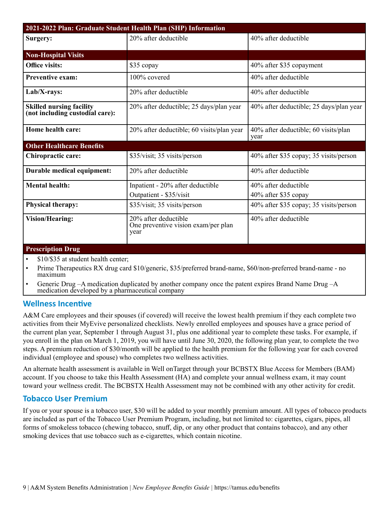| 2021-2022 Plan: Graduate Student Health Plan (SHP) Information |                                                                     |                                              |  |  |  |
|----------------------------------------------------------------|---------------------------------------------------------------------|----------------------------------------------|--|--|--|
| Surgery:                                                       | 20% after deductible                                                | 40% after deductible                         |  |  |  |
| <b>Non-Hospital Visits</b>                                     |                                                                     |                                              |  |  |  |
| <b>Office visits:</b>                                          | \$35 copay                                                          | 40% after \$35 copayment                     |  |  |  |
| <b>Preventive exam:</b>                                        | 100% covered                                                        | 40% after deductible                         |  |  |  |
| Lab/X-rays:                                                    | 20% after deductible                                                | 40% after deductible                         |  |  |  |
| Skilled nursing facility<br>(not including custodial care):    | 20% after deductible; 25 days/plan year                             | 40% after deductible; 25 days/plan year      |  |  |  |
| Home health care:                                              | 20% after deductible; 60 visits/plan year                           | 40% after deductible; 60 visits/plan<br>year |  |  |  |
| <b>Other Healthcare Benefits</b>                               |                                                                     |                                              |  |  |  |
| Chiropractic care:                                             | \$35/visit; 35 visits/person                                        | 40% after \$35 copay; 35 visits/person       |  |  |  |
| Durable medical equipment:                                     | 20% after deductible                                                | 40% after deductible                         |  |  |  |
| <b>Mental health:</b>                                          | Inpatient - 20% after deductible                                    | 40% after deductible                         |  |  |  |
|                                                                | Outpatient - \$35/visit                                             | 40% after \$35 copay                         |  |  |  |
| <b>Physical therapy:</b>                                       | \$35/visit; 35 visits/person                                        | 40% after \$35 copay; 35 visits/person       |  |  |  |
| <b>Vision/Hearing:</b>                                         | 20% after deductible<br>One preventive vision exam/per plan<br>year | 40% after deductible                         |  |  |  |
| <b>Prescription Drug</b>                                       |                                                                     |                                              |  |  |  |

- \$10/\$35 at student health center;
- Prime Therapeutics RX drug card \$10/generic, \$35/preferred brand-name, \$60/non-preferred brand-name no maximum
- Generic Drug –A medication duplicated by another company once the patent expires Brand Name Drug –A medication developed by a pharmaceutical company

### **Wellness Incentive**

A&M Care employees and their spouses (if covered) will receive the lowest health premium if they each complete two activities from their MyEvive personalized checklists. Newly enrolled employees and spouses have a grace period of the current plan year, September 1 through August 31, plus one additional year to complete these tasks. For example, if you enroll in the plan on March 1, 2019, you will have until June 30, 2020, the following plan year, to complete the two steps. A premium reduction of \$30/month will be applied to the health premium for the following year for each covered individual (employee and spouse) who completes two wellness activities.

An alternate health assessment is available in Well onTarget through your BCBSTX Blue Access for Members (BAM) account. If you choose to take this Health Assessment (HA) and complete your annual wellness exam, it may count toward your wellness credit. The BCBSTX Health Assessment may not be combined with any other activity for credit.

### **Tobacco User Premium**

If you or your spouse is a tobacco user, \$30 will be added to your monthly premium amount. All types of tobacco products are included as part of the Tobacco User Premium Program, including, but not limited to: cigarettes, cigars, pipes, all forms of smokeless tobacco (chewing tobacco, snuff, dip, or any other product that contains tobacco), and any other smoking devices that use tobacco such as e-cigarettes, which contain nicotine.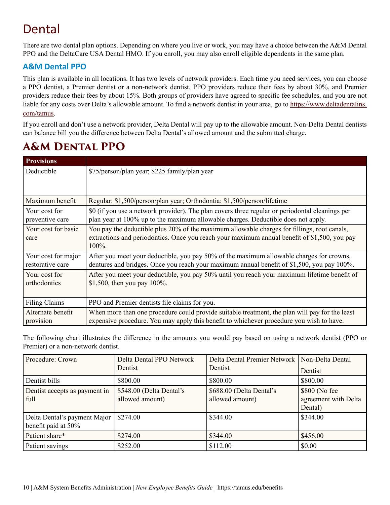# Dental

There are two dental plan options. Depending on where you live or work, you may have a choice between the A&M Dental PPO and the DeltaCare USA Dental HMO. If you enroll, you may also enroll eligible dependents in the same plan.

### **A&M Dental PPO**

This plan is available in all locations. It has two levels of network providers. Each time you need services, you can choose a PPO dentist, a Premier dentist or a non-network dentist. PPO providers reduce their fees by about 30%, and Premier providers reduce their fees by about 15%. Both groups of providers have agreed to specific fee schedules, and you are not liable for any costs over Delta's allowable amount. To find a network dentist in your area, go to [https://www.deltadentalins.](https://www.deltadentalins.com/tamus) [com/tamus](https://www.deltadentalins.com/tamus).

If you enroll and don't use a network provider, Delta Dental will pay up to the allowable amount. Non-Delta Dental dentists can balance bill you the difference between Delta Dental's allowed amount and the submitted charge.

| <b>Provisions</b>                       |                                                                                                                                                                                                          |
|-----------------------------------------|----------------------------------------------------------------------------------------------------------------------------------------------------------------------------------------------------------|
| Deductible                              | \$75/person/plan year; \$225 family/plan year                                                                                                                                                            |
| Maximum benefit                         | Regular: \$1,500/person/plan year; Orthodontia: \$1,500/person/lifetime                                                                                                                                  |
| Your cost for<br>preventive care        | \$0 (if you use a network provider). The plan covers three regular or periodontal cleanings per<br>plan year at 100% up to the maximum allowable charges. Deductible does not apply.                     |
| Your cost for basic<br>care             | You pay the deductible plus 20% of the maximum allowable charges for fillings, root canals,<br>extractions and periodontics. Once you reach your maximum annual benefit of \$1,500, you pay<br>$100\%$ . |
| Your cost for major<br>restorative care | After you meet your deductible, you pay 50% of the maximum allowable charges for crowns,<br>dentures and bridges. Once you reach your maximum annual benefit of \$1,500, you pay 100%.                   |
| Your cost for<br>orthodontics           | After you meet your deductible, you pay 50% until you reach your maximum lifetime benefit of<br>\$1,500, then you pay 100%.                                                                              |
| Filing Claims                           | PPO and Premier dentists file claims for you.                                                                                                                                                            |
| Alternate benefit<br>provision          | When more than one procedure could provide suitable treatment, the plan will pay for the least<br>expensive procedure. You may apply this benefit to whichever procedure you wish to have.               |

## **A&M Dental PPO**

The following chart illustrates the difference in the amounts you would pay based on using a network dentist (PPO or Premier) or a non-network dentist.

| Procedure: Crown                                    | Delta Dental PPO Network                    | Delta Dental Premier Network   Non-Delta Dental |                                                  |
|-----------------------------------------------------|---------------------------------------------|-------------------------------------------------|--------------------------------------------------|
|                                                     | Dentist                                     | Dentist                                         | Dentist                                          |
| Dentist bills                                       | \$800.00                                    | \$800.00                                        | \$800.00                                         |
| Dentist accepts as payment in<br>full               | \$548.00 (Delta Dental's<br>allowed amount) | \$688.00 (Delta Dental's<br>allowed amount)     | \$800 (No fee<br>agreement with Delta<br>Dental) |
| Delta Dental's payment Major<br>benefit paid at 50% | \$274.00                                    | \$344.00                                        | \$344.00                                         |
| Patient share*                                      | \$274.00                                    | \$344.00                                        | \$456.00                                         |
| Patient savings                                     | \$252.00                                    | \$112.00                                        | \$0.00                                           |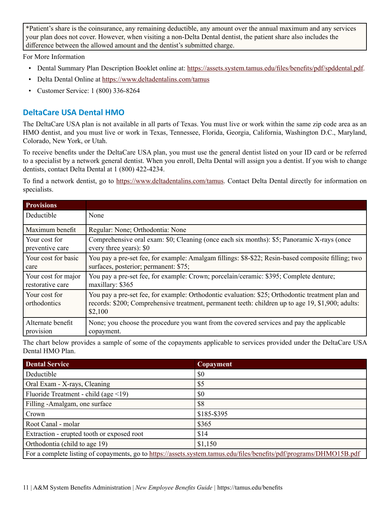\*Patient's share is the coinsurance, any remaining deductible, any amount over the annual maximum and any services your plan does not cover. However, when visiting a non-Delta Dental dentist, the patient share also includes the difference between the allowed amount and the dentist's submitted charge.

For More Information

- Dental Summary Plan Description Booklet online at: [https://assets.system.tamus.edu/files/benefits/pdf/spddental.pdf.](https://assets.system.tamus.edu/files/benefits/pdf/spddental.pdf)
- Delta Dental Online at [https://www.deltadentalins.com/tamus](http://www.deltadentalins.com/tamus)
- Customer Service: 1 (800) 336-8264

### **DeltaCare USA Dental HMO**

The DeltaCare USA plan is not available in all parts of Texas. You must live or work within the same zip code area as an HMO dentist, and you must live or work in Texas, Tennessee, Florida, Georgia, California, Washington D.C., Maryland, Colorado, New York, or Utah.

To receive benefits under the DeltaCare USA plan, you must use the general dentist listed on your ID card or be referred to a specialist by a network general dentist. When you enroll, Delta Dental will assign you a dentist. If you wish to change dentists, contact Delta Dental at 1 (800) 422-4234.

To find a network dentist, go to [https://www.deltadentalins.com/tamus](http://www.deltadentalins.com/tamus). Contact Delta Dental directly for information on specialists.

| <b>Provisions</b>             |                                                                                                                                                                                                                  |
|-------------------------------|------------------------------------------------------------------------------------------------------------------------------------------------------------------------------------------------------------------|
| Deductible                    | None                                                                                                                                                                                                             |
| Maximum benefit               | Regular: None; Orthodontia: None                                                                                                                                                                                 |
| Your cost for                 | Comprehensive oral exam: \$0; Cleaning (once each six months): \$5; Panoramic X-rays (once                                                                                                                       |
| preventive care               | every three years): \$0                                                                                                                                                                                          |
| Your cost for basic           | You pay a pre-set fee, for example: Amalgam fillings: \$8-\$22; Resin-based composite filling; two                                                                                                               |
| care                          | surfaces, posterior; permanent: \$75;                                                                                                                                                                            |
| Your cost for major           | You pay a pre-set fee, for example: Crown; porcelain/ceramic: \$395; Complete denture;                                                                                                                           |
| restorative care              | maxillary: \$365                                                                                                                                                                                                 |
| Your cost for<br>orthodontics | You pay a pre-set fee, for example: Orthodontic evaluation: \$25; Orthodontic treatment plan and<br>records: \$200; Comprehensive treatment, permanent teeth: children up to age 19, \$1,900; adults:<br>\$2,100 |
| Alternate benefit             | None; you choose the procedure you want from the covered services and pay the applicable                                                                                                                         |
| provision                     | copayment.                                                                                                                                                                                                       |

The chart below provides a sample of some of the copayments applicable to services provided under the DeltaCare USA Dental HMO Plan.

| <b>Dental Service</b>                                                                                               | <b>Copayment</b> |  |
|---------------------------------------------------------------------------------------------------------------------|------------------|--|
| Deductible                                                                                                          | \$0              |  |
| Oral Exam - X-rays, Cleaning                                                                                        | \$5              |  |
| Fluoride Treatment - child (age $\leq$ 19)                                                                          | \$0              |  |
| Filling - Amalgam, one surface                                                                                      | \$8              |  |
| Crown                                                                                                               | \$185-\$395      |  |
| Root Canal - molar                                                                                                  | \$365            |  |
| Extraction - erupted tooth or exposed root                                                                          | \$14             |  |
| Orthodontia (child to age 19)                                                                                       | \$1,150          |  |
| For a complete listing of copayments, go to https://assets.system.tamus.edu/files/benefits/pdf/programs/DHMO15B.pdf |                  |  |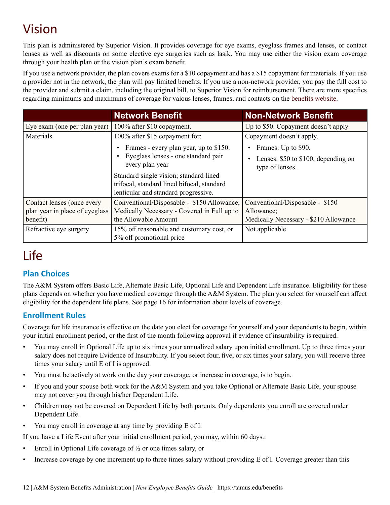# Vision

This plan is administered by Superior Vision. It provides coverage for eye exams, eyeglass frames and lenses, or contact lenses as well as discounts on some elective eye surgeries such as lasik. You may use either the vision exam coverage through your health plan or the vision plan's exam benefit.

If you use a network provider, the plan covers exams for a \$10 copayment and has a \$15 copayment for materials. If you use a provider not in the network, the plan will pay limited benefits. If you use a non-network provider, you pay the full cost to the provider and submit a claim, including the original bill, to Superior Vision for reimbursement. There are more specifics regarding minimums and maximums of coverage for vaious lenses, frames, and contacts on the [benefits website](https://assets.system.tamus.edu/files/benefits/pdf/ae/FY22/aepages/VisionSummary.pdf).

|                                | <b>Network Benefit</b>                                 | <b>Non-Network Benefit</b>                                |
|--------------------------------|--------------------------------------------------------|-----------------------------------------------------------|
| Eye exam (one per plan year)   | 100% after \$10 copayment.                             | Up to \$50. Copayment doesn't apply                       |
| Materials                      | 100% after \$15 copayment for:                         | Copayment doesn't apply.                                  |
|                                | Frames - every plan year, up to \$150.                 | Frames: Up to \$90.                                       |
|                                | Eyeglass lenses - one standard pair<br>every plan year | Lenses: $$50$ to $$100$ , depending on<br>type of lenses. |
|                                | Standard single vision; standard lined                 |                                                           |
|                                | trifocal, standard lined bifocal, standard             |                                                           |
|                                | lenticular and standard progressive.                   |                                                           |
| Contact lenses (once every     | Conventional/Disposable - \$150 Allowance;             | Conventional/Disposable - \$150                           |
| plan year in place of eyeglass | Medically Necessary - Covered in Full up to            | Allowance;                                                |
| benefit)                       | the Allowable Amount                                   | Medically Necessary - \$210 Allowance                     |
| Refractive eye surgery         | 15% off reasonable and customary cost, or              | Not applicable                                            |
|                                | 5% off promotional price                               |                                                           |

# Life

### **Plan Choices**

The A&M System offers Basic Life, Alternate Basic Life, Optional Life and Dependent Life insurance. Eligibility for these plans depends on whether you have medical coverage through the A&M System. The plan you select for yourself can affect eligibility for the dependent life plans. See page 16 for information about levels of coverage.

### **Enrollment Rules**

Coverage for life insurance is effective on the date you elect for coverage for yourself and your dependents to begin, within your initial enrollment period, or the first of the month following approval if evidence of insurability is required.

- You may enroll in Optional Life up to six times your annualized salary upon initial enrollment. Up to three times your salary does not require Evidence of Insurability. If you select four, five, or six times your salary, you will receive three times your salary until E of I is approved.
- You must be actively at work on the day your coverage, or increase in coverage, is to begin.
- If you and your spouse both work for the A&M System and you take Optional or Alternate Basic Life, your spouse may not cover you through his/her Dependent Life.
- Children may not be covered on Dependent Life by both parents. Only dependents you enroll are covered under Dependent Life.
- You may enroll in coverage at any time by providing E of I.

If you have a Life Event after your initial enrollment period, you may, within 60 days.:

- Enroll in Optional Life coverage of  $\frac{1}{2}$  or one times salary, or
- Increase coverage by one increment up to three times salary without providing E of I. Coverage greater than this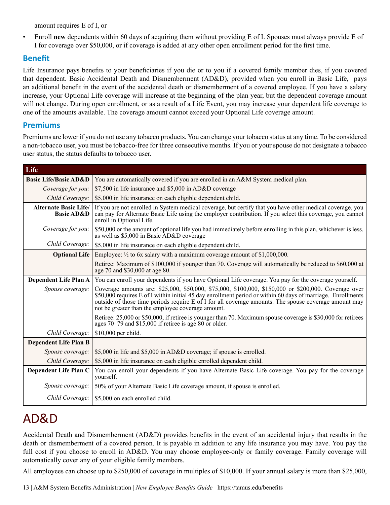amount requires E of I, or

• Enroll **new** dependents within 60 days of acquiring them without providing E of I. Spouses must always provide E of I for coverage over \$50,000, or if coverage is added at any other open enrollment period for the first time.

### **Benefit**

Life Insurance pays benefits to your beneficiaries if you die or to you if a covered family member dies, if you covered that dependent. Basic Accidental Death and Dismemberment (AD&D), provided when you enroll in Basic Life, pays an additional benefit in the event of the accidental death or dismemberment of a covered employee. If you have a salary increase, your Optional Life coverage will increase at the beginning of the plan year, but the dependent coverage amount will not change. During open enrollment, or as a result of a Life Event, you may increase your dependent life coverage to one of the amounts available. The coverage amount cannot exceed your Optional Life coverage amount.

### **Premiums**

Premiums are lower if you do not use any tobacco products. You can change your tobacco status at any time. To be considered a non-tobacco user, you must be tobacco-free for three consecutive months. If you or your spouse do not designate a tobacco user status, the status defaults to tobacco user.

| Life                                                  |                                                                                                                                                                                                                                                                                                                                                                                   |
|-------------------------------------------------------|-----------------------------------------------------------------------------------------------------------------------------------------------------------------------------------------------------------------------------------------------------------------------------------------------------------------------------------------------------------------------------------|
| <b>Basic Life/Basic AD&amp;D</b>                      | You are automatically covered if you are enrolled in an A&M System medical plan.                                                                                                                                                                                                                                                                                                  |
| Coverage for you:                                     | \$7,500 in life insurance and \$5,000 in AD&D coverage                                                                                                                                                                                                                                                                                                                            |
| Child Coverage:                                       | \$5,000 in life insurance on each eligible dependent child.                                                                                                                                                                                                                                                                                                                       |
| <b>Alternate Basic Life/</b><br><b>Basic AD&amp;D</b> | If you are not enrolled in System medical coverage, but certify that you have other medical coverage, you<br>can pay for Alternate Basic Life using the employer contribution. If you select this coverage, you cannot<br>enroll in Optional Life.                                                                                                                                |
| Coverage for you:                                     | \$50,000 or the amount of optional life you had immediately before enrolling in this plan, whichever is less,<br>as well as \$5,000 in Basic AD&D coverage                                                                                                                                                                                                                        |
| Child Coverage:                                       | \$5,000 in life insurance on each eligible dependent child.                                                                                                                                                                                                                                                                                                                       |
| <b>Optional Life</b>                                  | Employee: $\frac{1}{2}$ to 6x salary with a maximum coverage amount of \$1,000,000.                                                                                                                                                                                                                                                                                               |
|                                                       | Retiree: Maximum of \$100,000 if younger than 70. Coverage will automatically be reduced to \$60,000 at<br>age 70 and \$30,000 at age 80.                                                                                                                                                                                                                                         |
| Dependent Life Plan A                                 | You can enroll your dependents if you have Optional Life coverage. You pay for the coverage yourself.                                                                                                                                                                                                                                                                             |
| <i>Spouse coverage:</i>                               | Coverage amounts are: \$25,000, \$50,000, \$75,000, \$100,000, \$150,000 or \$200,000. Coverage over<br>\$50,000 requires E of I within initial 45 day enrollment period or within 60 days of marriage. Enrollments<br>outside of those time periods require E of I for all coverage amounts. The spouse coverage amount may<br>not be greater than the employee coverage amount. |
|                                                       | Retiree: 25,000 or \$50,000, if retiree is younger than 70. Maximum spouse coverage is \$30,000 for retirees<br>ages 70-79 and \$15,000 if retiree is age 80 or older.                                                                                                                                                                                                            |
| Child Coverage:                                       | \$10,000 per child.                                                                                                                                                                                                                                                                                                                                                               |
| <b>Dependent Life Plan B</b>                          |                                                                                                                                                                                                                                                                                                                                                                                   |
| Spouse coverage:                                      | \$5,000 in life and \$5,000 in AD&D coverage; if spouse is enrolled.                                                                                                                                                                                                                                                                                                              |
| Child Coverage:                                       | \$5,000 in life insurance on each eligible enrolled dependent child.                                                                                                                                                                                                                                                                                                              |
| Dependent Life Plan C                                 | You can enroll your dependents if you have Alternate Basic Life coverage. You pay for the coverage<br>yourself.                                                                                                                                                                                                                                                                   |
| Spouse coverage:                                      | 50% of your Alternate Basic Life coverage amount, if spouse is enrolled.                                                                                                                                                                                                                                                                                                          |
| Child Coverage:                                       | \$5,000 on each enrolled child.                                                                                                                                                                                                                                                                                                                                                   |

# AD&D

Accidental Death and Dismemberment (AD&D) provides benefits in the event of an accidental injury that results in the death or dismemberment of a covered person. It is payable in addition to any life insurance you may have. You pay the full cost if you choose to enroll in AD&D. You may choose employee-only or family coverage. Family coverage will automatically cover any of your eligible family members.

All employees can choose up to \$250,000 of coverage in multiples of \$10,000. If your annual salary is more than \$25,000,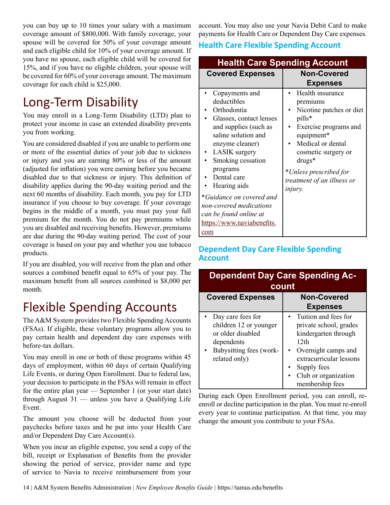you can buy up to 10 times your salary with a maximum coverage amount of \$800,000. With family coverage, your spouse will be covered for 50% of your coverage amount and each eligible child for 10% of your coverage amount. If you have no spouse, each eligible child will be covered for 15%, and if you have no eligible children, your spouse will be covered for 60% of your coverage amount. The maximum coverage for each child is \$25,000.

# Long-Term Disability

You may enroll in a Long-Term Disability (LTD) plan to protect your income in case an extended disability prevents you from working.

You are considered disabled if you are unable to perform one or more of the essential duties of your job due to sickness or injury and you are earning 80% or less of the amount (adjusted for inflation) you were earning before you became disabled due to that sickness or injury. This definition of disability applies during the 90-day waiting period and the next 60 months of disability. Each month, you pay for LTD insurance if you choose to buy coverage. If your coverage begins in the middle of a month, you must pay your full premium for the month. You do not pay premiums while you are disabled and receiving benefits. However, premiums are due during the 90-day waiting period. The cost of your coverage is based on your pay and whether you use tobacco products.

If you are disabled, you will receive from the plan and other sources a combined benefit equal to 65% of your pay. The maximum benefit from all sources combined is \$8,000 per month.

# Flexible Spending Accounts

The A&M System provides two Flexible Spending Accounts (FSAs). If eligible, these voluntary programs allow you to pay certain health and dependent day care expenses with before-tax dollars.

You may enroll in one or both of these programs within 45 days of employment, within 60 days of certain Qualifying Life Events, or during Open Enrollment. Due to federal law, your decision to participate in the FSAs will remain in effect for the entire plan year — September 1 (or your start date) through August 31 — unless you have a Qualifying Life Event.

The amount you choose will be deducted from your paychecks before taxes and be put into your Health Care and/or Dependent Day Care Account(s).

When you incur an eligible expense, you send a copy of the bill, receipt or Explanation of Benefits from the provider showing the period of service, provider name and type of service to Navia to receive reimbursement from your account. You may also use your Navia Debit Card to make payments for Health Care or Dependent Day Care expenses. **Health Care Flexible Spending Account**

| <b>Health Care Spending Account</b>                                                                                                                                                                                                                                                                                                               |                                                                                                                                                                                                                                             |
|---------------------------------------------------------------------------------------------------------------------------------------------------------------------------------------------------------------------------------------------------------------------------------------------------------------------------------------------------|---------------------------------------------------------------------------------------------------------------------------------------------------------------------------------------------------------------------------------------------|
| <b>Covered Expenses</b>                                                                                                                                                                                                                                                                                                                           | <b>Non-Covered</b><br><b>Expenses</b>                                                                                                                                                                                                       |
| Copayments and<br>deductibles<br>Orthodontia<br>Glasses, contact lenses<br>and supplies (such as<br>saline solution and<br>enzyme cleaner)<br>LASIK surgery<br>Smoking cessation<br>programs<br>Dental care<br>Hearing aids<br>*Guidance on covered and<br>non-covered medications<br>can be found online at<br>https://www.naviabenefits.<br>com | Health insurance<br>premiums<br>Nicotine patches or diet<br>pills*<br>Exercise programs and<br>equipment*<br>Medical or dental<br>cosmetic surgery or<br>$drugs*$<br>*Unless prescribed for<br>treatment of an illness or<br><i>injury.</i> |

### **Dependent Day Care Flexible Spending Account**

|                                                                                                                              | <b>Dependent Day Care Spending Ac-</b><br>count                                                                                                                                            |
|------------------------------------------------------------------------------------------------------------------------------|--------------------------------------------------------------------------------------------------------------------------------------------------------------------------------------------|
| <b>Covered Expenses</b>                                                                                                      | <b>Non-Covered</b><br><b>Expenses</b>                                                                                                                                                      |
| Day care fees for<br>children 12 or younger<br>or older disabled<br>dependents<br>• Babysitting fees (work-<br>related only) | Tuition and fees for<br>private school, grades<br>kindergarten through<br>12th<br>Overnight camps and<br>extracurricular lessons<br>Supply fees<br>Club or organization<br>membership fees |

During each Open Enrollment period, you can enroll, reenroll or decline participation in the plan. You must re-enroll every year to continue participation. At that time, you may change the amount you contribute to your FSAs.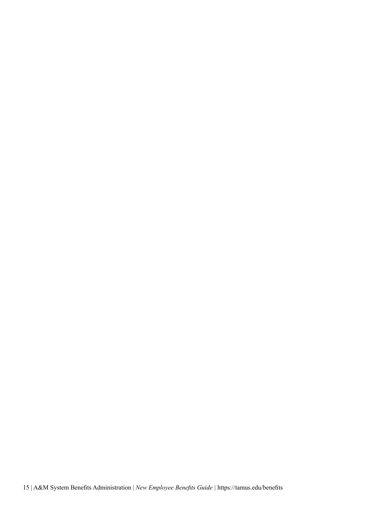15 | A&M System Benefits Administration | *New Employee Benefits Guide |* https://tamus.edu/benefits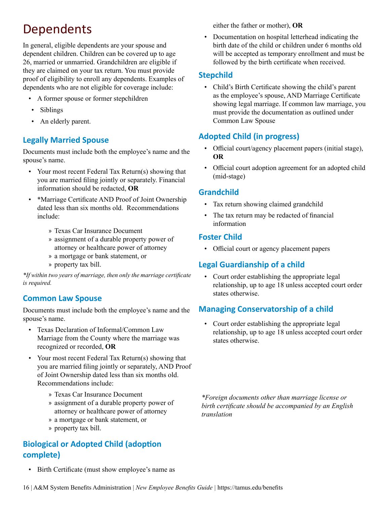# Dependents

In general, eligible dependents are your spouse and dependent children. Children can be covered up to age 26, married or unmarried. Grandchildren are eligible if they are claimed on your tax return. You must provide proof of eligibility to enroll any dependents. Examples of dependents who are not eligible for coverage include:

- A former spouse or former stepchildren
- Siblings
- An elderly parent.

### **Legally Married Spouse**

Documents must include both the employee's name and the spouse's name.

- Your most recent Federal Tax Return(s) showing that you are married filing jointly or separately. Financial information should be redacted, **OR**
- \*Marriage Certificate AND Proof of Joint Ownership dated less than six months old. Recommendations include:
	- » Texas Car Insurance Document
	- » assignment of a durable property power of attorney or healthcare power of attorney
	- » a mortgage or bank statement, or
	- » property tax bill.

*\*If within two years of marriage, then only the marriage certificate is required.*

### **Common Law Spouse**

Documents must include both the employee's name and the spouse's name.

- Texas Declaration of Informal/Common Law Marriage from the County where the marriage was recognized or recorded, **OR**
- Your most recent Federal Tax Return(s) showing that you are married filing jointly or separately, AND Proof of Joint Ownership dated less than six months old. Recommendations include:
	- » Texas Car Insurance Document
	- » assignment of a durable property power of attorney or healthcare power of attorney
	- » a mortgage or bank statement, or
	- » property tax bill.

### **Biological or Adopted Child (adoption complete)**

• Birth Certificate (must show employee's name as

either the father or mother), **OR**

• Documentation on hospital letterhead indicating the birth date of the child or children under 6 months old will be accepted as temporary enrollment and must be followed by the birth certificate when received.

### **Stepchild**

• Child's Birth Certificate showing the child's parent as the employee's spouse, AND Marriage Certificate showing legal marriage. If common law marriage, you must provide the documentation as outlined under Common Law Spouse

### **Adopted Child (in progress)**

- Official court/agency placement papers (initial stage), **OR**
- Official court adoption agreement for an adopted child (mid-stage)

### **Grandchild**

- Tax return showing claimed grandchild
- The tax return may be redacted of financial information

### **Foster Child**

• Official court or agency placement papers

### **Legal Guardianship of a child**

• Court order establishing the appropriate legal relationship, up to age 18 unless accepted court order states otherwise.

### **Managing Conservatorship of a child**

• Court order establishing the appropriate legal relationship, up to age 18 unless accepted court order states otherwise.

*\*Foreign documents other than marriage license or birth certificate should be accompanied by an English translation*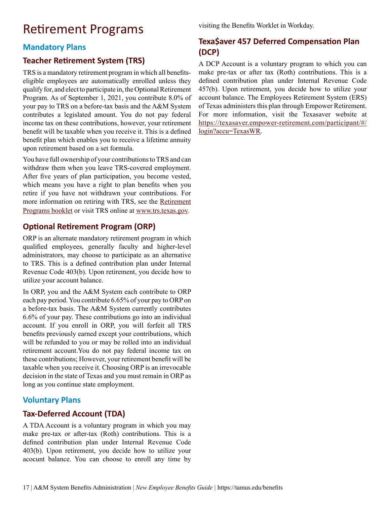# Retirement Programs

### **Mandatory Plans**

### **Teacher Retirement System (TRS)**

TRS is a mandatory retirement program in which all benefitseligible employees are automatically enrolled unless they qualify for, and elect to participate in, the Optional Retirement Program. As of September 1, 2021, you contribute 8.0% of your pay to TRS on a before-tax basis and the A&M System contributes a legislated amount. You do not pay federal income tax on these contributions, however, your retirement benefit will be taxable when you receive it. This is a defined benefit plan which enables you to receive a lifetime annuity upon retirement based on a set formula.

You have full ownership of your contributions to TRS and can withdraw them when you leave TRS-covered employment. After five years of plan participation, you become vested, which means you have a right to plan benefits when you retire if you have not withdrawn your contributions. For more information on retiring with TRS, see the [Retirement](https://assets.system.tamus.edu/files/benefits/pdf/RPB.pdf) [Programs booklet](https://assets.system.tamus.edu/files/benefits/pdf/RPB.pdf) or visit TRS online at [www.trs.t](www.trs.state.tx.us)exas.gov.

### **Optional Retirement Program (ORP)**

ORP is an alternate mandatory retirement program in which qualified employees, generally faculty and higher-level administrators, may choose to participate as an alternative to TRS. This is a defined contribution plan under Internal Revenue Code 403(b). Upon retirement, you decide how to utilize your account balance.

In ORP, you and the A&M System each contribute to ORP each pay period. You contribute 6.65% of your pay to ORP on a before-tax basis. The A&M System currently contributes 6.6% of your pay. These contributions go into an individual account. If you enroll in ORP, you will forfeit all TRS benefits previously earned except your contributions, which will be refunded to you or may be rolled into an individual retirement account.You do not pay federal income tax on these contributions; However, your retirement benefit will be taxable when you receive it. Choosing ORP is an irrevocable decision in the state of Texas and you must remain in ORP as long as you continue state employment.

### **Voluntary Plans**

### **Tax-Deferred Account (TDA)**

A TDA Account is a voluntary program in which you may make pre-tax or after-tax (Roth) contributions. This is a defined contribution plan under Internal Revenue Code 403(b). Upon retirement, you decide how to utilize your acocunt balance. You can choose to enroll any time by

visiting the Benefits Worklet in Workday.

### **Texa\$aver 457 Deferred Compensation Plan (DCP)**

A DCP Account is a voluntary program to which you can make pre-tax or after tax (Roth) contributions. This is a defined contribution plan under Internal Revenue Code 457(b). Upon retirement, you decide how to utilize your account balance. The Employees Retirement System (ERS) of Texas administers this plan through Empower Retirement. For more information, visit the Texasaver website at [https://texasaver.empower-retirement.com/participant/#/](https://texasaver.empower-retirement.com/participant/#/login?accu=TexasWR) [login?accu=TexasWR](https://texasaver.empower-retirement.com/participant/#/login?accu=TexasWR).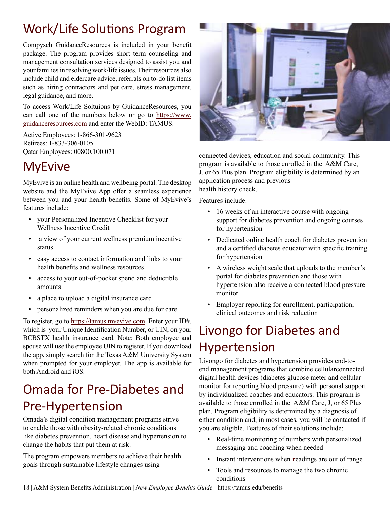# Work/Life Solutions Program

Compysch GuidanceResources is included in your benefit package. The program provides short term counseling and management consultation services designed to assist you and your families in resolving work/life issues. Their resources also include child and eldercare advice, referrals on to-do list items such as hiring contractors and pet care, stress management, legal guidance, and more.

To access Work/Life Soltuions by GuidanceResources, you can call one of the numbers below or go to [https://www.](https://www.guidanceresources.com) [guidanceresources.com](https://www.guidanceresources.com) and enter the WebID: TAMUS.

Active Employees: 1-866-301-9623 Retirees: 1-833-306-0105 Qatar Employees: 00800.100.071

# **MyEvive**

MyEvive is an online health and wellbeing portal. The desktop website and the MyEvive App offer a seamless experience between you and your health benefits. Some of MyEvive's features include:

- your Personalized Incentive Checklist for your Wellness Incentive Credit
- a view of your current wellness premium incentive status
- easy access to contact information and links to your health benefits and wellness resources
- access to your out-of-pocket spend and deductible amounts
- a place to upload a digital insurance card
- personalized reminders when you are due for care

To register, go to [https://tamus.myevive.com.](https://tamus.myevive.com) Enter your ID#, which is your Unique Identification Number, or UIN, on your BCBSTX health insurance card. Note: Both employee and spouse will use the employee UIN to register. If you download the app, simply search for the Texas A&M University System when prompted for your employer. The app is available for both Android and iOS.

# Omada for Pre-Diabetes and Pre-Hypertension

Omada's digital condition management programs strive to enable those with obesity-related chronic conditions like diabetes prevention, heart disease and hypertension to change the habits that put them at risk.

The program empowers members to achieve their health goals through sustainable lifestyle changes using



connected devices, education and social community. This program is available to those enrolled in the A&M Care, J, or 65 Plus plan. Program eligibility is determined by an application process and previous health history check.

Features include:

- 16 weeks of an interactive course with ongoing support for diabetes prevention and ongoing courses for hypertension
- Dedicated online health coach for diabetes prevention and a certified diabetes educator with specific training for hypertension
- A wireless weight scale that uploads to the member's portal for diabetes prevention and those with hypertension also receive a connected blood pressure monitor
- Employer reporting for enrollment, participation, clinical outcomes and risk reduction

# Livongo for Diabetes and Hypertension

Livongo for diabetes and hypertension provides end-toend management programs that combine cellularconnected digital health devices (diabetes glucose meter and cellular monitor for reporting blood pressure) with personal support by individualized coaches and educators. This program is available to those enrolled in the A&M Care, J, or 65 Plus plan. Program eligibility is determined by a diagnosis of either condition and, in most cases, you will be contacted if you are eligible. Features of their solutions include:

- Real-time monitoring of numbers with personalized messaging and coaching when needed
- Instant interventions when **r**eadings are out of range
- Tools and resources to manage the two chronic conditions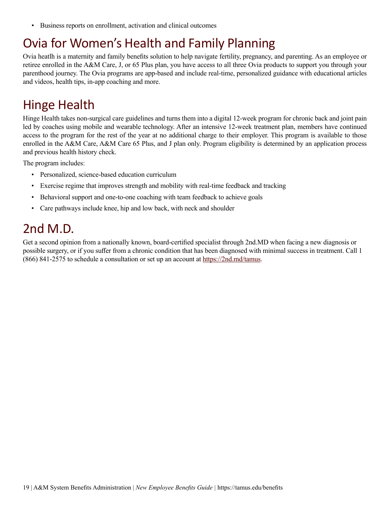• Business reports on enrollment, activation and clinical outcomes

# Ovia for Women's Health and Family Planning

Ovia heatlh is a maternity and family benefits solution to help navigate fertility, pregnancy, and parenting. As an employee or retiree enrolled in the A&M Care, J, or 65 Plus plan, you have access to all three Ovia products to support you through your parenthood journey. The Ovia programs are app-based and include real-time, personalized guidance with educational articles and videos, health tips, in-app coaching and more.

# Hinge Health

Hinge Health takes non-surgical care guidelines and turns them into a digital 12-week program for chronic back and joint pain led by coaches using mobile and wearable technology. After an intensive 12-week treatment plan, members have continued access to the program for the rest of the year at no additional charge to their employer. This program is available to those enrolled in the A&M Care, A&M Care 65 Plus, and J plan only. Program eligibility is determined by an application process and previous health history check.

The program includes:

- Personalized, science-based education curriculum
- Exercise regime that improves strength and mobility with real-time feedback and tracking
- Behavioral support and one-to-one coaching with team feedback to achieve goals
- Care pathways include knee, hip and low back, with neck and shoulder

# 2nd M.D.

Get a second opinion from a nationally known, board-certified specialist through 2nd.MD when facing a new diagnosis or possible surgery, or if you suffer from a chronic condition that has been diagnosed with minimal success in treatment. Call 1 (866) 841-2575 to schedule a consultation or set up an account at<https://2nd.md/tamus>.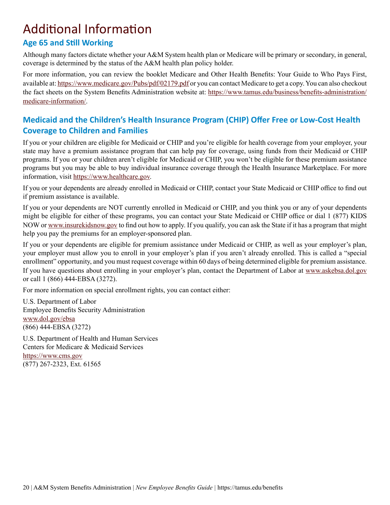# Additional Information

### **Age 65 and Still Working**

Although many factors dictate whether your A&M System health plan or Medicare will be primary or secondary, in general, coverage is determined by the status of the A&M health plan policy holder.

For more information, you can review the booklet Medicare and Other Health Benefits: Your Guide to Who Pays First, available at: [https://www.medicare.gov/Pubs/pdf/02179.pdf](http://www.medicare.gov/Pubs/pdf/02179.pdf) or you can contact Medicare to get a copy. You can also checkout the fact sheets on the System Benefits Administration website at: [https://www.tamus.edu/business/benefits-administration/](http://www.tamus.edu/business/benefits-administration/medicare-information/) [medicare-information/.](http://www.tamus.edu/business/benefits-administration/medicare-information/)

### **Medicaid and the Children's Health Insurance Program (CHIP) Offer Free or Low-Cost Health Coverage to Children and Families**

If you or your children are eligible for Medicaid or CHIP and you're eligible for health coverage from your employer, your state may have a premium assistance program that can help pay for coverage, using funds from their Medicaid or CHIP programs. If you or your children aren't eligible for Medicaid or CHIP, you won't be eligible for these premium assistance programs but you may be able to buy individual insurance coverage through the Health Insurance Marketplace. For more information, visit https://<www.healthcare.gov>.

If you or your dependents are already enrolled in Medicaid or CHIP, contact your State Medicaid or CHIP office to find out if premium assistance is available.

If you or your dependents are NOT currently enrolled in Medicaid or CHIP, and you think you or any of your dependents might be eligible for either of these programs, you can contact your State Medicaid or CHIP office or dial 1 (877) KIDS NOW or<www.insurekidsnow.gov> to find out how to apply. If you qualify, you can ask the State if it has a program that might help you pay the premiums for an employer-sponsored plan.

If you or your dependents are eligible for premium assistance under Medicaid or CHIP, as well as your employer's plan, your employer must allow you to enroll in your employer's plan if you aren't already enrolled. This is called a "special enrollment" opportunity, and you must request coverage within 60 days of being determined eligible for premium assistance. If you have questions about enrolling in your employer's plan, contact the Department of Labor at <www.askebsa.dol.gov> or call 1 (866) 444-EBSA (3272).

For more information on special enrollment rights, you can contact either:

U.S. Department of Labor Employee Benefits Security Administration <www.dol.gov/ebsa> (866) 444-EBSA (3272)

U.S. Department of Health and Human Services Centers for Medicare & Medicaid Services https://[www.cms.gov](www.cms.hhs.gov) (877) 267-2323, Ext. 61565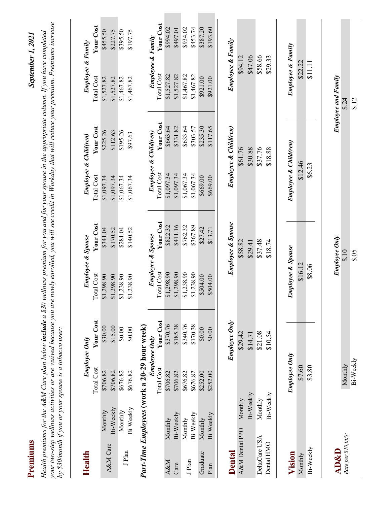# **September 1, 2021 Premiums** *September 1, 2021*

your two-step wellness activities or are waived because you are newly enrolled, you will see credit in Workday that will reduce your premium. Premiums increase *your two-step wellness activities or are waived because you are newly enrolled, you will see credit in Workday that will reduce your premium. Premiums increase*  Health premiums for the A&M Care plan below **include** a \$30 wellness premium for you and for your spouse in the appropriate column. If you have completed *Health premiums for the A&M Care plan below include a \$30 wellness premium for you and for your spouse in the appropriate column. If you have completed*  by \$30/month if you or your spouse is a tobacco user: *by \$30/month if you or your spouse is a tobacco user:*

| Health                    |                                              |                      | <b>Employee Only</b> |                              | <b>Employee &amp; Spouse</b> | <b>Employee &amp; Child(ren)</b> |                       | <b>Employee &amp; Family</b> |                              |
|---------------------------|----------------------------------------------|----------------------|----------------------|------------------------------|------------------------------|----------------------------------|-----------------------|------------------------------|------------------------------|
|                           |                                              | Total Cost           | Your Cost            | Total Cost                   | Your Cost                    | Total Cost                       | Your Cost             | Total Cost                   | Your Cost                    |
| A&M Care                  | Monthly                                      | \$706.82             | \$30.00              | \$1,298.90                   | \$341.04                     | \$1,097.34                       | \$225.26              | \$1,527.82                   | \$455.50                     |
|                           | Bi-Weekly                                    | \$706.82             | \$15.00              | \$1,298.90                   | \$170.52                     | \$1,097.34                       | \$112.63              | \$1,527.82                   | \$227.75                     |
| J Plan                    | Monthly                                      | \$676.82             | $$0.00$<br>$$0.00$   | \$1,238.90                   | \$281.04                     | \$1,067.34                       | \$195.26              | \$1,467.82                   | \$395.50                     |
|                           | Bi Weekly                                    | \$676.82             |                      | \$1,238.90                   | \$140.52                     | \$1,067.34                       | \$97.63               | \$1,467.82                   | \$197.75                     |
|                           | Part-Time Employees (work a 20-29 hour week) |                      |                      |                              |                              |                                  |                       |                              |                              |
|                           |                                              |                      | <b>Employee Only</b> |                              | <b>Employee &amp; Spouse</b> |                                  | Employee & Child(ren) |                              | <b>Employee &amp; Family</b> |
|                           |                                              | <b>Total Cost</b>    | Your Cost            | <b>Total Cost</b>            | Your Cost                    | <b>Total Cost</b>                | Your Cost             | Total Cost                   | Your Cost                    |
| A&M                       | Monthly                                      | \$706.82             | \$370.76             | \$1,298.90                   | \$822.32                     | \$1,097.34                       | \$663.64              | \$1,527.82                   | \$994.02                     |
| Care                      | Bi-Weekly                                    | \$706.82             | \$185.38             | \$1,298.90                   | \$411.16                     | \$1,097.34                       | \$331.82              | \$1,527.82                   | \$497.01                     |
| J Plan                    | Monthly                                      | \$676.82             | \$340.76             | \$1,238.90                   | \$762.32                     | \$1,067.34                       | \$633.64              | \$1,467.82                   | \$934.02                     |
|                           | Bi-Weekly                                    | \$676.82             | \$170.38             | \$1,238.90                   | \$367.89                     | \$1,067.34                       | \$303.57              | \$1,467.82                   | \$453.74                     |
| Graduate                  | Monthly                                      | \$252.00             | 0.008                | \$504.00                     | \$27.42                      | \$669.00                         | \$235.30              | \$921.00                     | \$387.20                     |
| Plan                      | Bi Weekly                                    | \$252.00             | \$0.00               | \$504.00                     | \$13.71                      | \$669.00                         | \$117.65              | \$921.00                     | \$193.60                     |
| Dental                    |                                              |                      | <b>Employee Only</b> |                              | <b>Employee &amp; Spouse</b> |                                  | Employee & Child(ren) | <b>Employee &amp; Family</b> |                              |
| <b>A&amp;M</b> Dental PPO | Monthly                                      |                      | \$29.42              |                              | \$58.82                      |                                  | \$61.76               | \$94.12                      |                              |
|                           | Bi-Weekly                                    |                      | \$14.71              |                              | \$29.41                      |                                  | \$30.88               | \$47.06                      |                              |
| DeltaCare USA             | Monthly                                      |                      | \$21.08              |                              | \$37.48                      |                                  | \$37.76               | \$58.66                      |                              |
| Dental HMO                | Bi-Weekly                                    |                      | \$10.54              |                              | \$18.74                      |                                  | \$18.88               | \$29.33                      |                              |
|                           |                                              |                      |                      |                              |                              |                                  |                       |                              |                              |
| Vision                    |                                              | <b>Employee Only</b> |                      | <b>Employee &amp; Spouse</b> |                              | Employee & Child(ren)            |                       | <b>Employee &amp; Family</b> |                              |
| Monthly                   |                                              | \$7.60               |                      | \$16.12                      |                              | \$12.46                          |                       | \$22.22                      |                              |
| Bi-Weekly                 |                                              | \$3.80               |                      | \$8.06                       |                              | \$6.23                           |                       | \$11.11                      |                              |
| <b>AD&amp;D</b>           |                                              |                      |                      |                              | <b>Employee Only</b>         |                                  |                       | <b>Employee and Family</b>   |                              |
| Rate per \$10,000:        |                                              | Monthly              |                      |                              | \$10                         |                                  |                       | \$.24                        |                              |
|                           |                                              | Bi-Weekly            |                      |                              | \$0.5                        |                                  |                       | \$.12                        |                              |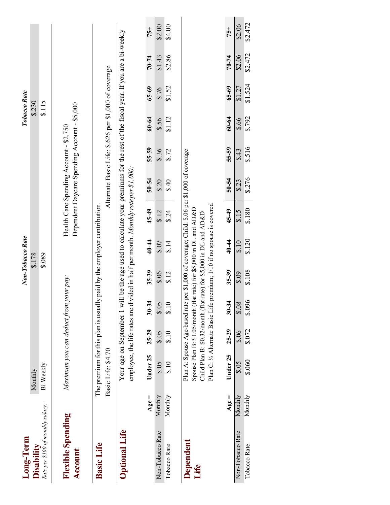| Long-Term                         |         |                                                                                                                                                                                                                                                                                                                  |           |           | Non-Tobacco Rate                   |        |           |                                                                                                    |           | <b>Tobacco Rate</b> |           |           |         |
|-----------------------------------|---------|------------------------------------------------------------------------------------------------------------------------------------------------------------------------------------------------------------------------------------------------------------------------------------------------------------------|-----------|-----------|------------------------------------|--------|-----------|----------------------------------------------------------------------------------------------------|-----------|---------------------|-----------|-----------|---------|
| Disability                        |         | Monthly                                                                                                                                                                                                                                                                                                          |           |           | \$.178                             |        |           |                                                                                                    |           | \$.230              |           |           |         |
| Rate per \$100 of monthly salary: |         | Bi-Weekly                                                                                                                                                                                                                                                                                                        |           |           | \$.089                             |        |           |                                                                                                    |           | \$.115              |           |           |         |
| <b>Flexible Spending</b>          |         | Maximum you can deduct from your pay:                                                                                                                                                                                                                                                                            |           |           |                                    |        |           | Health Care Spending Account - \$2,750                                                             |           |                     |           |           |         |
| Account                           |         |                                                                                                                                                                                                                                                                                                                  |           |           |                                    |        |           | Dependent Daycare Spending Account - \$5,000                                                       |           |                     |           |           |         |
| <b>Basic Life</b>                 |         | The premium for this plan is usually                                                                                                                                                                                                                                                                             |           |           | paid by the employer contribution. |        |           |                                                                                                    |           |                     |           |           |         |
|                                   |         | Basic Life: \$4.70                                                                                                                                                                                                                                                                                               |           |           |                                    |        |           | Alternate Basic Life: \$.626 per \$1,000 of coverage                                               |           |                     |           |           |         |
| <b>Optional Life</b>              |         | employee, the life rates are divided in half per month. Monthly rate per \$1,000:<br>Your age on September 1 will                                                                                                                                                                                                |           |           |                                    |        |           | be the age used to calculate your premiums for the rest of the fiscal year. If you are a bi-weekly |           |                     |           |           |         |
|                                   | $Age =$ | Under 25                                                                                                                                                                                                                                                                                                         | $25 - 29$ | $30 - 34$ | 35-39                              | 40-44  | $45 - 49$ | 50-54                                                                                              | 55-59     | 60-64               | $65 - 69$ | $70 - 74$ | $75+$   |
| Non-Tobacco Rate                  | Monthly | \$0.6                                                                                                                                                                                                                                                                                                            | \$0.6     | 50.3      | 0.3                                | 0.3    | \$.12     | 0.3                                                                                                | 36        | 0.56                | 8.76      | \$1.43    | \$2.00  |
| Tobacco Rate                      | Monthly | \$10                                                                                                                                                                                                                                                                                                             | \$10      | \$.10     | \$.12                              | \$.14  | \$.24     | $0 + 3$                                                                                            | \$.72     | \$1.12              | \$1.52    | \$2.86    | \$4.00  |
| Dependent<br>Life                 |         | Plan A: Spouse Age-based rate per \$1,000 of coverage; Child: \$.06 per \$1,000 of coverage<br>Plan C: 1/2 Alternate Basic Life premium; 1/10 if no spouse is covered<br>Spouse Plan B: \$1.05/month (flat rate) for \$5,000 in DL and AD&D<br>Child Plan B: \$0.32/month (flat rate) for \$5,000 in DL and AD&D |           |           |                                    |        |           |                                                                                                    |           |                     |           |           |         |
|                                   | $Age =$ | Under 25                                                                                                                                                                                                                                                                                                         | $25 - 29$ | $30 - 34$ | $35 - 39$                          | 40-44  | $45 - 49$ | 50-54                                                                                              | $55 - 59$ | 60-64               | $65 - 69$ | 70-74     | $75+$   |
| Non-Tobacco Rate                  | Monthly | \$0.6                                                                                                                                                                                                                                                                                                            | 8.06      | \$0.08    | 8.09                               | \$.10  | \$.15     | \$.23                                                                                              | \$43      | 66                  | \$1.27    | \$2.06    | \$2.06  |
| Tobacco Rate                      | Monthly | \$.060                                                                                                                                                                                                                                                                                                           | \$.072    | \$.096    | \$.108                             | \$.120 | \$.180    | \$.276                                                                                             | \$.516    | \$.792              | \$1.524   | \$2.472   | \$2.472 |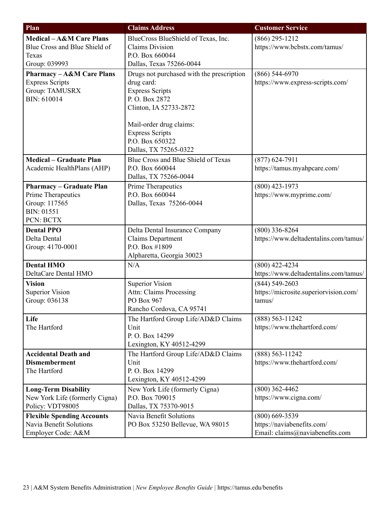| Plan                                | <b>Claims Address</b>                     | <b>Customer Service</b>               |
|-------------------------------------|-------------------------------------------|---------------------------------------|
| <b>Medical - A&amp;M Care Plans</b> | BlueCross BlueShield of Texas, Inc.       | $(866)$ 295-1212                      |
| Blue Cross and Blue Shield of       | <b>Claims Division</b>                    | https://www.bcbstx.com/tamus/         |
| Texas                               | P.O. Box 660044                           |                                       |
| Group: 039993                       | Dallas, Texas 75266-0044                  |                                       |
| <b>Pharmacy-A&amp;M Care Plans</b>  | Drugs not purchased with the prescription | $(866) 544-6970$                      |
| <b>Express Scripts</b>              | drug card:                                | https://www.express-scripts.com/      |
| Group: TAMUSRX                      | <b>Express Scripts</b>                    |                                       |
| <b>BIN: 610014</b>                  | P.O. Box 2872                             |                                       |
|                                     | Clinton, IA 52733-2872                    |                                       |
|                                     | Mail-order drug claims:                   |                                       |
|                                     | <b>Express Scripts</b>                    |                                       |
|                                     | P.O. Box 650322                           |                                       |
|                                     | Dallas, TX 75265-0322                     |                                       |
| <b>Medical – Graduate Plan</b>      | Blue Cross and Blue Shield of Texas       | $(877) 624 - 7911$                    |
| Academic HealthPlans (AHP)          | P.O. Box 660044                           | https://tamus.myahpcare.com/          |
|                                     | Dallas, TX 75266-0044                     |                                       |
| <b>Pharmacy - Graduate Plan</b>     | Prime Therapeutics                        | $(800)$ 423-1973                      |
| Prime Therapeutics                  | P.O. Box 660044                           | https://www.myprime.com/              |
| Group: 117565                       | Dallas, Texas 75266-0044                  |                                       |
| <b>BIN: 01551</b>                   |                                           |                                       |
| PCN: BCTX                           |                                           |                                       |
| <b>Dental PPO</b>                   | Delta Dental Insurance Company            | $(800)$ 336-8264                      |
| Delta Dental                        | <b>Claims Department</b>                  | https://www.deltadentalins.com/tamus/ |
| Group: 4170-0001                    | P.O. Box #1809                            |                                       |
|                                     | Alpharetta, Georgia 30023                 |                                       |
| <b>Dental HMO</b>                   | N/A                                       | $(800)$ 422-4234                      |
| DeltaCare Dental HMO                |                                           | https://www.deltadentalins.com/tamus/ |
| <b>Vision</b>                       | <b>Superior Vision</b>                    | $(844) 549 - 2603$                    |
| <b>Superior Vision</b>              | <b>Attn: Claims Processing</b>            | https://microsite.superiorvision.com/ |
| Group: 036138                       | PO Box 967                                | tamus/                                |
|                                     | Rancho Cordova, CA 95741                  |                                       |
| Life                                | The Hartford Group Life/AD&D Claims       | $(888) 563 - 11242$                   |
| The Hartford                        | Unit                                      | https://www.thehartford.com/          |
|                                     | P.O. Box 14299                            |                                       |
|                                     | Lexington, KY 40512-4299                  |                                       |
| <b>Accidental Death and</b>         | The Hartford Group Life/AD&D Claims       | $(888) 563 - 11242$                   |
| <b>Dismemberment</b>                | Unit                                      | https://www.thehartford.com/          |
| The Hartford                        | P.O. Box 14299                            |                                       |
|                                     | Lexington, KY 40512-4299                  |                                       |
| <b>Long-Term Disability</b>         | New York Life (formerly Cigna)            | $(800)$ 362-4462                      |
| New York Life (formerly Cigna)      | P.O. Box 709015                           | https://www.cigna.com/                |
| Policy: VDT98005                    | Dallas, TX 75370-9015                     |                                       |
| <b>Flexible Spending Accounts</b>   | Navia Benefit Solutions                   | $(800)$ 669-3539                      |
| Navia Benefit Solutions             | PO Box 53250 Bellevue, WA 98015           | https://naviabenefits.com/            |
| Employer Code: A&M                  |                                           | Email: claims@naviabenefits.com       |